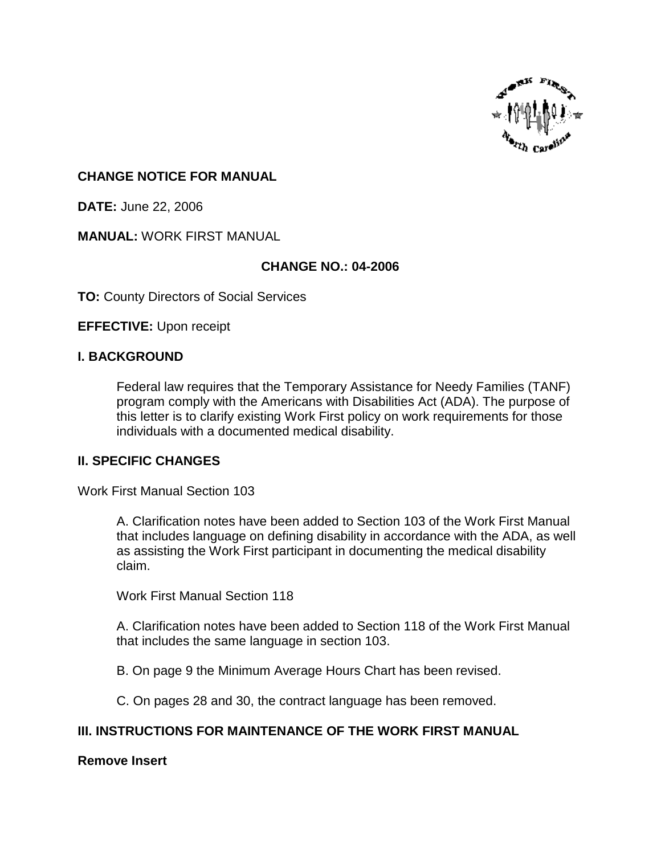

## **CHANGE NOTICE FOR MANUAL**

**DATE:** June 22, 2006

**MANUAL:** WORK FIRST MANUAL

## **CHANGE NO.: 04-2006**

**TO:** County Directors of Social Services

**EFFECTIVE:** Upon receipt

#### **I. BACKGROUND**

Federal law requires that the Temporary Assistance for Needy Families (TANF) program comply with the Americans with Disabilities Act (ADA). The purpose of this letter is to clarify existing Work First policy on work requirements for those individuals with a documented medical disability.

## **II. SPECIFIC CHANGES**

Work First Manual Section 103

A. Clarification notes have been added to Section 103 of the Work First Manual that includes language on defining disability in accordance with the ADA, as well as assisting the Work First participant in documenting the medical disability claim.

Work First Manual Section 118

A. Clarification notes have been added to Section 118 of the Work First Manual that includes the same language in section 103.

B. On page 9 the Minimum Average Hours Chart has been revised.

C. On pages 28 and 30, the contract language has been removed.

## **III. INSTRUCTIONS FOR MAINTENANCE OF THE WORK FIRST MANUAL**

**Remove Insert**